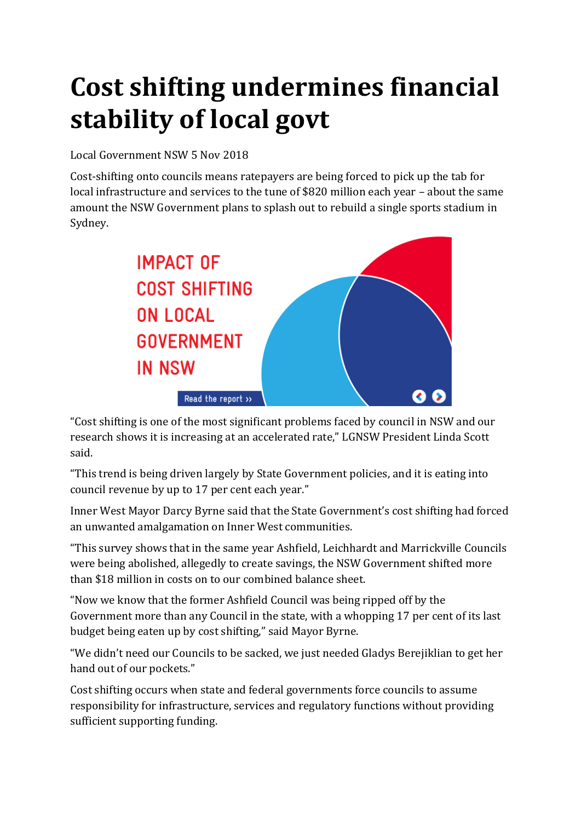# **Cost shifting undermines financial stability of local govt**

### Local Government NSW 5 Nov 2018

Cost-shifting onto councils means ratepayers are being forced to pick up the tab for local infrastructure and services to the tune of \$820 million each year – about the same amount the NSW Government plans to splash out to rebuild a single sports stadium in Sydney.



"Cost shifting is one of the most significant problems faced by council in NSW and our research shows it is increasing at an accelerated rate," LGNSW President Linda Scott said.

"This trend is being driven largely by State Government policies, and it is eating into council revenue by up to 17 per cent each year."

Inner West Mayor Darcy Byrne said that the State Government's cost shifting had forced an unwanted amalgamation on Inner West communities.

"This survey shows that in the same year Ashfield, Leichhardt and Marrickville Councils were being abolished, allegedly to create savings, the NSW Government shifted more than \$18 million in costs on to our combined balance sheet.

"Now we know that the former Ashfield Council was being ripped off by the Government more than any Council in the state, with a whopping 17 per cent of its last budget being eaten up by cost shifting," said Mayor Byrne.

"We didn't need our Councils to be sacked, we just needed Gladys Berejiklian to get her hand out of our pockets."

Cost shifting occurs when state and federal governments force councils to assume responsibility for infrastructure, services and regulatory functions without providing sufficient supporting funding.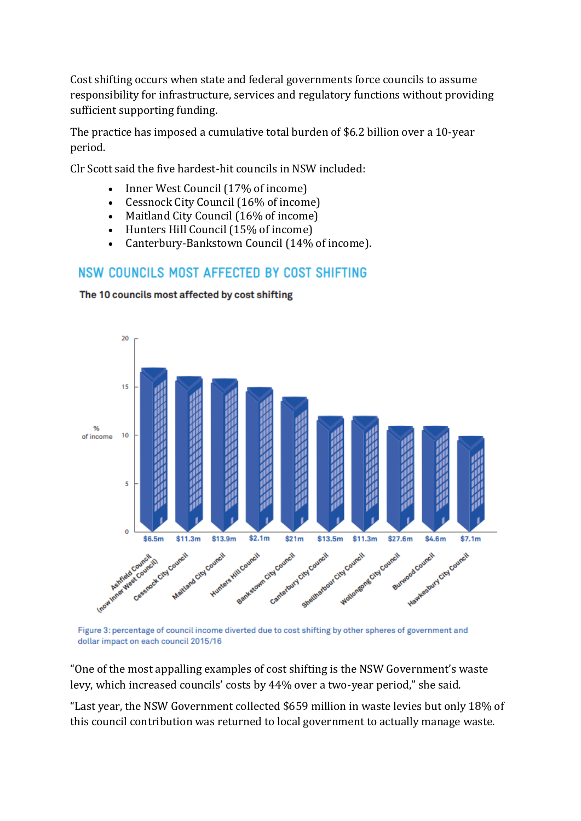Cost shifting occurs when state and federal governments force councils to assume responsibility for infrastructure, services and regulatory functions without providing sufficient supporting funding.

The practice has imposed a cumulative total burden of \$6.2 billion over a 10-year period.

Clr Scott said the five hardest-hit councils in NSW included:

- Inner West Council (17% of income)
- Cessnock City Council (16% of income)
- Maitland City Council (16% of income)
- Hunters Hill Council (15% of income)
- Canterbury-Bankstown Council (14% of income).

### NSW COUNCILS MOST AFFECTED BY COST SHIFTING

The 10 councils most affected by cost shifting



Figure 3: percentage of council income diverted due to cost shifting by other spheres of government and dollar impact on each council 2015/16

"One of the most appalling examples of cost shifting is the NSW Government's waste levy, which increased councils' costs by 44% over a two-year period," she said.

"Last year, the NSW Government collected \$659 million in waste levies but only 18% of this council contribution was returned to local government to actually manage waste.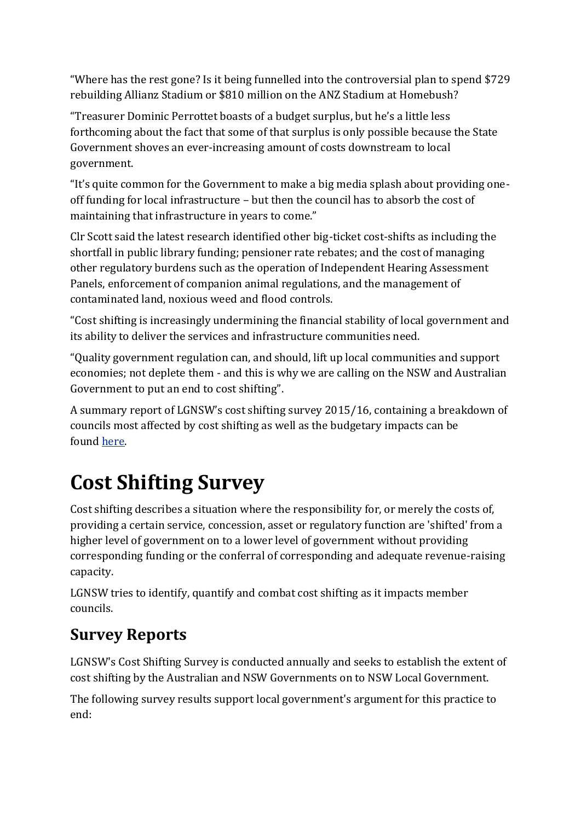"Where has the rest gone? Is it being funnelled into the controversial plan to spend \$729 rebuilding Allianz Stadium or \$810 million on the ANZ Stadium at Homebush?

"Treasurer Dominic Perrottet boasts of a budget surplus, but he's a little less forthcoming about the fact that some of that surplus is only possible because the State Government shoves an ever-increasing amount of costs downstream to local government.

"It's quite common for the Government to make a big media splash about providing oneoff funding for local infrastructure – but then the council has to absorb the cost of maintaining that infrastructure in years to come."

Clr Scott said the latest research identified other big-ticket cost-shifts as including the shortfall in public library funding; pensioner rate rebates; and the cost of managing other regulatory burdens such as the operation of Independent Hearing Assessment Panels, enforcement of companion animal regulations, and the management of contaminated land, noxious weed and flood controls.

"Cost shifting is increasingly undermining the financial stability of local government and its ability to deliver the services and infrastructure communities need.

"Quality government regulation can, and should, lift up local communities and support economies; not deplete them - and this is why we are calling on the NSW and Australian Government to put an end to cost shifting".

A summary report of LGNSW's cost shifting survey 2015/16, containing a breakdown of councils most affected by cost shifting as well as the budgetary impacts can be found [here.](https://www.lgnsw.org.au/files/imce-uploads/206/Cost_Shifting_Summary.pdf)

## **Cost Shifting Survey**

Cost shifting describes a situation where the responsibility for, or merely the costs of, providing a certain service, concession, asset or regulatory function are 'shifted' from a higher level of government on to a lower level of government without providing corresponding funding or the conferral of corresponding and adequate revenue-raising capacity.

LGNSW tries to identify, quantify and combat cost shifting as it impacts member councils.

### **Survey Reports**

LGNSW's Cost Shifting Survey is conducted annually and seeks to establish the extent of cost shifting by the Australian and NSW Governments on to NSW Local Government.

The following survey results support local government's argument for this practice to end: